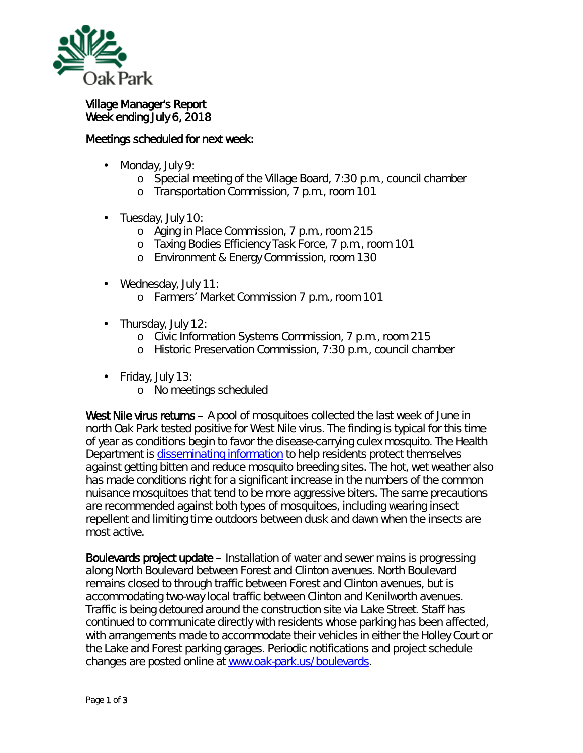

## Village Manager's Report Week ending July 6, 2018

## Meetings scheduled for next week:

- Monday, July 9: ä,
	- o Special meeting of the Village Board, 7:30 p.m., council chamber
	- o Transportation Commission, 7 p.m., room 101
- Tuesday, July 10:
	- o Aging in Place Commission, 7 p.m., room 215
	- o Taxing Bodies Efficiency Task Force, 7 p.m., room 101
	- o Environment & Energy Commission, room 130
- Wednesday, July 11:
	- o Farmers' Market Commission 7 p.m., room 101
- Thursday, July 12:
	- o Civic Information Systems Commission, 7 p.m., room 215
	- o Historic Preservation Commission, 7:30 p.m., council chamber
- ä, Friday, July 13:
	- o No meetings scheduled

West Nile virus returns – A pool of mosquitoes collected the last week of June in north Oak Park tested positive for West Nile virus. The finding is typical for this time of year as conditions begin to favor the disease-carrying culex mosquito. The Health Department is [disseminating information](https://www.oak-park.us/newsletters/julyaugust-2018/west-nile-virus-threat-returns) to help residents protect themselves against getting bitten and reduce mosquito breeding sites. The hot, wet weather also has made conditions right for a significant increase in the numbers of the common nuisance mosquitoes that tend to be more aggressive biters. The same precautions are recommended against both types of mosquitoes, including wearing insect repellent and limiting time outdoors between dusk and dawn when the insects are most active.

Boulevards project update – Installation of water and sewer mains is progressing along North Boulevard between Forest and Clinton avenues. North Boulevard remains closed to through traffic between Forest and Clinton avenues, but is accommodating two-way local traffic between Clinton and Kenilworth avenues. Traffic is being detoured around the construction site via Lake Street. Staff has continued to communicate directly with residents whose parking has been affected, with arrangements made to accommodate their vehicles in either the Holley Court or the Lake and Forest parking garages. Periodic notifications and project schedule changes are posted online at [www.oak-park.us/boulevards.](http://www.oak-park.us/boulevards)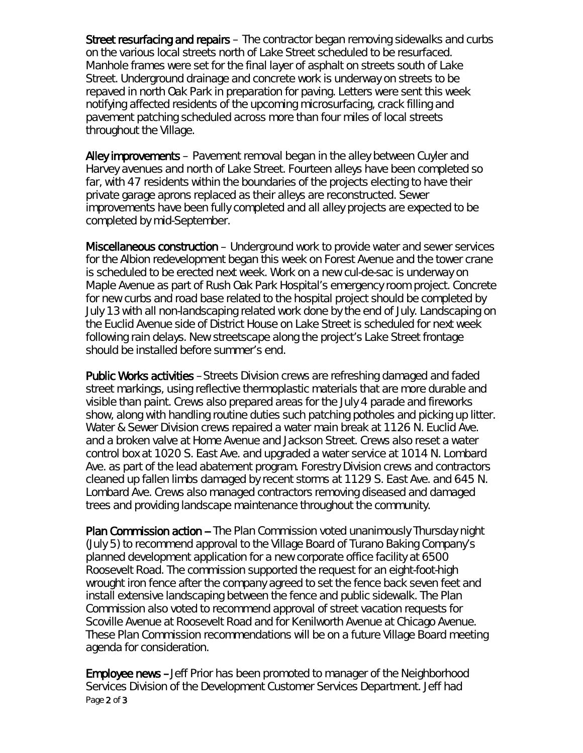Street resurfacing and repairs – The contractor began removing sidewalks and curbs on the various local streets north of Lake Street scheduled to be resurfaced. Manhole frames were set for the final layer of asphalt on streets south of Lake Street. Underground drainage and concrete work is underway on streets to be repaved in north Oak Park in preparation for paving. Letters were sent this week notifying affected residents of the upcoming microsurfacing, crack filling and pavement patching scheduled across more than four miles of local streets throughout the Village.

Alley improvements – Pavement removal began in the alley between Cuyler and Harvey avenues and north of Lake Street. Fourteen alleys have been completed so far, with 47 residents within the boundaries of the projects electing to have their private garage aprons replaced as their alleys are reconstructed. Sewer improvements have been fully completed and all alley projects are expected to be completed by mid-September.

Miscellaneous construction – Underground work to provide water and sewer services for the Albion redevelopment began this week on Forest Avenue and the tower crane is scheduled to be erected next week. Work on a new cul-de-sac is underway on Maple Avenue as part of Rush Oak Park Hospital's emergency room project. Concrete for new curbs and road base related to the hospital project should be completed by July 13 with all non-landscaping related work done by the end of July. Landscaping on the Euclid Avenue side of District House on Lake Street is scheduled for next week following rain delays. New streetscape along the project's Lake Street frontage should be installed before summer's end.

Public Works activities –Streets Division crews are refreshing damaged and faded street markings, using reflective thermoplastic materials that are more durable and visible than paint. Crews also prepared areas for the July 4 parade and fireworks show, along with handling routine duties such patching potholes and picking up litter. Water & Sewer Division crews repaired a water main break at 1126 N. Euclid Ave. and a broken valve at Home Avenue and Jackson Street. Crews also reset a water control box at 1020 S. East Ave. and upgraded a water service at 1014 N. Lombard Ave. as part of the lead abatement program. Forestry Division crews and contractors cleaned up fallen limbs damaged by recent storms at 1129 S. East Ave. and 645 N. Lombard Ave. Crews also managed contractors removing diseased and damaged trees and providing landscape maintenance throughout the community.

Plan Commission action -- The Plan Commission voted unanimously Thursday night (July 5) to recommend approval to the Village Board of Turano Baking Company's planned development application for a new corporate office facility at 6500 Roosevelt Road. The commission supported the request for an eight-foot-high wrought iron fence after the company agreed to set the fence back seven feet and install extensive landscaping between the fence and public sidewalk. The Plan Commission also voted to recommend approval of street vacation requests for Scoville Avenue at Roosevelt Road and for Kenilworth Avenue at Chicago Avenue. These Plan Commission recommendations will be on a future Village Board meeting agenda for consideration.

Page 2 of 3 Employee news –Jeff Prior has been promoted to manager of the Neighborhood Services Division of the Development Customer Services Department. Jeff had